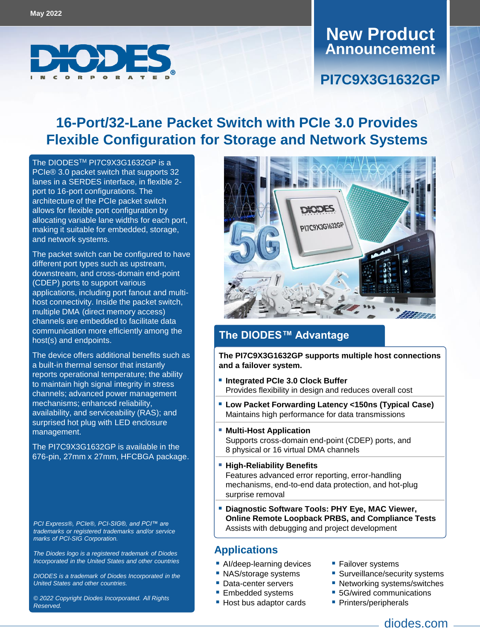

# **Announcement New Product**

### **PI7C9X3G1632GP**

## **16-Port/32-Lane Packet Switch with PCIe 3.0 Provides Flexible Configuration for Storage and Network Systems**

The DIODESTM [PI7C9X3G1632GP i](https://www.diodes.com/part/PI7C9X3G1632GP/)s a PCIe® 3.0 packet switch that supports 32 lanes in a SERDES interface, in flexible 2 port to 16-port configurations. The architecture of the PCIe packet switch allows for flexible port configuration by allocating variable lane widths for each port, making it suitable for embedded, storage, and network systems.

The packet switch can be configured to have different port types such as upstream, downstream, and cross-domain end-point (CDEP) ports to support various applications, including port fanout and multihost connectivity. Inside the packet switch, multiple DMA (direct memory access) channels are embedded to facilitate data communication more efficiently among the host(s) and endpoints.

The device offers additional benefits such as a built-in thermal sensor that instantly reports operational temperature; the ability to maintain high signal integrity in stress channels; advanced power management mechanisms; enhanced reliability, availability, and serviceability (RAS); and surprised hot plug with LED enclosure management.

The PI7C9X3G1632GP is available in the 676-pin, 27mm x 27mm, HFCBGA package.

*PCI Express®, PCIe®, PCI-SIG®, and PCI™ are trademarks or registered trademarks and/or service marks of PCI-SIG Corporation.*

*The Diodes logo is a registered trademark of Diodes Incorporated in the United States and other countries*

*DIODES is a trademark of Diodes Incorporated in the United States and other countries.*

*© 2022 Copyright Diodes Incorporated. All Rights Reserved.*



### **The DIODES™ Advantage**

**The PI7C9X3G1632GP supports multiple host connections and a failover system.**

- **Integrated PCIe 3.0 Clock Buffer** Provides flexibility in design and reduces overall cost
- **Low Packet Forwarding Latency <150ns (Typical Case)** Maintains high performance for data transmissions
- **Multi-Host Application** Supports cross-domain end-point (CDEP) ports, and 8 physical or 16 virtual DMA channels
- **High-Reliability Benefits** Features advanced error reporting, error-handling mechanisms, end-to-end data protection, and hot-plug surprise removal
- **Diagnostic Software Tools: PHY Eye, MAC Viewer, Online Remote Loopback PRBS, and Compliance Tests** Assists with debugging and project development

#### **Applications**

- **AI/deep-learning devices**
- NAS/storage systems
- Data-center servers
- **Embedded systems**
- Host bus adaptor cards
- **Failover systems**
- **Surveillance/security systems**
- Networking systems/switches
- **5G/wired communications**
- **Printers/peripherals** 
	- diodes.com